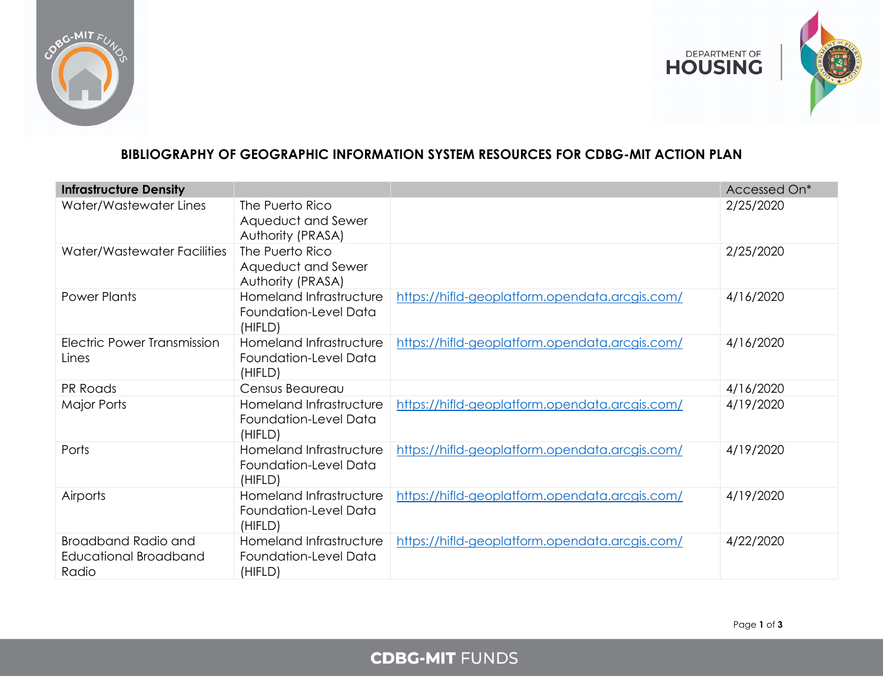



## **BIBLIOGRAPHY OF GEOGRAPHIC INFORMATION SYSTEM RESOURCES FOR CDBG-MIT ACTION PLAN**

| <b>Infrastructure Density</b>                         |                                                             |                                                | Accessed On* |
|-------------------------------------------------------|-------------------------------------------------------------|------------------------------------------------|--------------|
| Water/Wastewater Lines                                | The Puerto Rico<br>Aqueduct and Sewer<br>Authority (PRASA)  |                                                | 2/25/2020    |
| Water/Wastewater Facilities                           | The Puerto Rico<br>Aqueduct and Sewer<br>Authority (PRASA)  |                                                | 2/25/2020    |
| <b>Power Plants</b>                                   | Homeland Infrastructure<br>Foundation-Level Data<br>(HIFLD) | https://hifld-geoplatform.opendata.arcgis.com/ | 4/16/2020    |
| Electric Power Transmission<br>Lines                  | Homeland Infrastructure<br>Foundation-Level Data<br>(HIFLD) | https://hifld-geoplatform.opendata.arcgis.com/ | 4/16/2020    |
| PR Roads                                              | Census Beaureau                                             |                                                | 4/16/2020    |
| Major Ports                                           | Homeland Infrastructure<br>Foundation-Level Data<br>(HIFLD) | https://hifld-geoplatform.opendata.arcgis.com/ | 4/19/2020    |
| Ports                                                 | Homeland Infrastructure<br>Foundation-Level Data<br>(HIFLD) | https://hifld-geoplatform.opendata.arcgis.com/ | 4/19/2020    |
| <b>Airports</b>                                       | Homeland Infrastructure<br>Foundation-Level Data<br>(HIFLD) | https://hifld-geoplatform.opendata.arcgis.com/ | 4/19/2020    |
| Broadband Radio and<br>Educational Broadband<br>Radio | Homeland Infrastructure<br>Foundation-Level Data<br>(HIFLD) | https://hifld-geoplatform.opendata.arcgis.com/ | 4/22/2020    |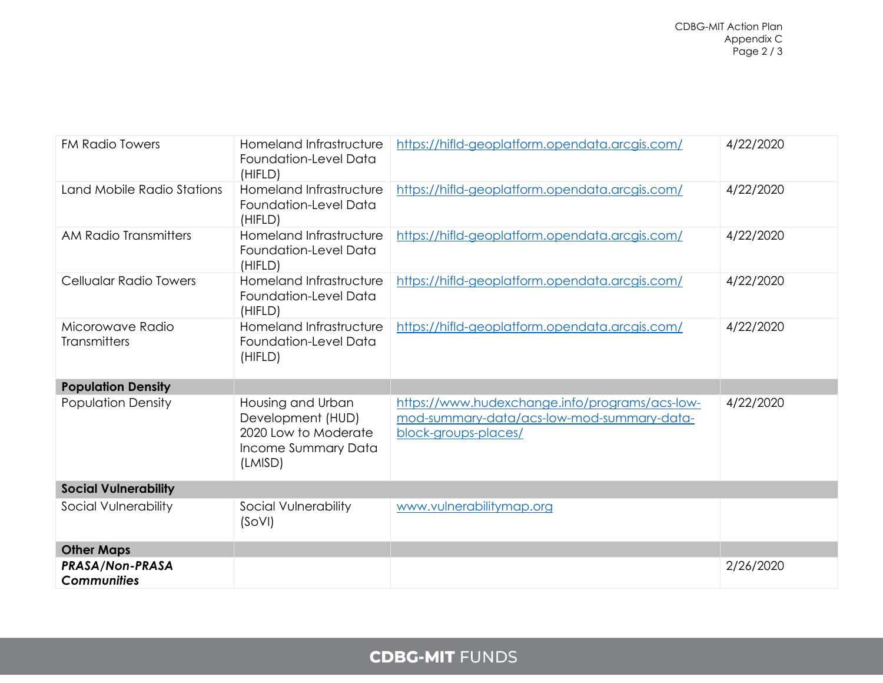| <b>FM Radio Towers</b>                       | Homeland Infrastructure<br>Foundation-Level Data<br>(HIFLD)                                      | https://hifld-geoplatform.opendata.arcgis.com/                                                                       | 4/22/2020 |
|----------------------------------------------|--------------------------------------------------------------------------------------------------|----------------------------------------------------------------------------------------------------------------------|-----------|
| Land Mobile Radio Stations                   | Homeland Infrastructure<br>Foundation-Level Data<br>(HIFLD)                                      | https://hifld-geoplatform.opendata.arcgis.com/                                                                       | 4/22/2020 |
| AM Radio Transmitters                        | Homeland Infrastructure<br>Foundation-Level Data<br>(HIFLD)                                      | https://hifld-geoplatform.opendata.arcgis.com/                                                                       | 4/22/2020 |
| Cellualar Radio Towers                       | Homeland Infrastructure<br>Foundation-Level Data<br>(HIFLD)                                      | https://hifld-geoplatform.opendata.arcgis.com/                                                                       | 4/22/2020 |
| Micorowave Radio<br><b>Transmitters</b>      | Homeland Infrastructure<br>Foundation-Level Data<br>(HIFLD)                                      | https://hifld-geoplatform.opendata.arcgis.com/                                                                       | 4/22/2020 |
| <b>Population Density</b>                    |                                                                                                  |                                                                                                                      |           |
| <b>Population Density</b>                    | Housing and Urban<br>Development (HUD)<br>2020 Low to Moderate<br>Income Summary Data<br>(LMISD) | https://www.hudexchange.info/programs/acs-low-<br>mod-summary-data/acs-low-mod-summary-data-<br>block-groups-places/ | 4/22/2020 |
| <b>Social Vulnerability</b>                  |                                                                                                  |                                                                                                                      |           |
| Social Vulnerability                         | Social Vulnerability<br>(SoVI)                                                                   | www.vulnerabilitymap.org                                                                                             |           |
| <b>Other Maps</b>                            |                                                                                                  |                                                                                                                      |           |
| <b>PRASA/Non-PRASA</b><br><b>Communities</b> |                                                                                                  |                                                                                                                      | 2/26/2020 |